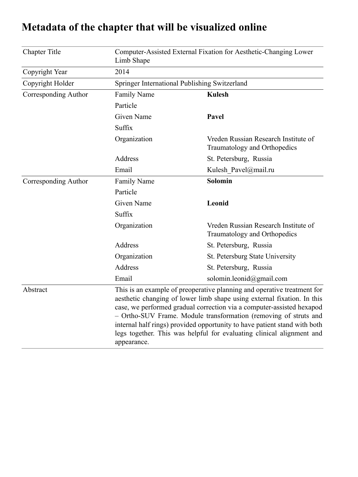| <b>Chapter Title</b> | Computer-Assisted External Fixation for Aesthetic-Changing Lower<br>Limb Shape                                                                                                                                                                                                                                                                                                                                                                                       |                                                                      |
|----------------------|----------------------------------------------------------------------------------------------------------------------------------------------------------------------------------------------------------------------------------------------------------------------------------------------------------------------------------------------------------------------------------------------------------------------------------------------------------------------|----------------------------------------------------------------------|
| Copyright Year       | 2014                                                                                                                                                                                                                                                                                                                                                                                                                                                                 |                                                                      |
| Copyright Holder     | Springer International Publishing Switzerland                                                                                                                                                                                                                                                                                                                                                                                                                        |                                                                      |
| Corresponding Author | <b>Family Name</b>                                                                                                                                                                                                                                                                                                                                                                                                                                                   | <b>Kulesh</b>                                                        |
|                      | Particle                                                                                                                                                                                                                                                                                                                                                                                                                                                             |                                                                      |
|                      | <b>Given Name</b>                                                                                                                                                                                                                                                                                                                                                                                                                                                    | Pavel                                                                |
|                      | Suffix                                                                                                                                                                                                                                                                                                                                                                                                                                                               |                                                                      |
|                      | Organization                                                                                                                                                                                                                                                                                                                                                                                                                                                         | Vreden Russian Research Institute of<br>Traumatology and Orthopedics |
|                      | <b>Address</b>                                                                                                                                                                                                                                                                                                                                                                                                                                                       | St. Petersburg, Russia                                               |
|                      | Email                                                                                                                                                                                                                                                                                                                                                                                                                                                                | Kulesh Pavel@mail.ru                                                 |
| Corresponding Author | <b>Family Name</b>                                                                                                                                                                                                                                                                                                                                                                                                                                                   | Solomin                                                              |
|                      | Particle                                                                                                                                                                                                                                                                                                                                                                                                                                                             |                                                                      |
|                      | <b>Given Name</b>                                                                                                                                                                                                                                                                                                                                                                                                                                                    | Leonid                                                               |
|                      | Suffix                                                                                                                                                                                                                                                                                                                                                                                                                                                               |                                                                      |
|                      | Organization                                                                                                                                                                                                                                                                                                                                                                                                                                                         | Vreden Russian Research Institute of<br>Traumatology and Orthopedics |
|                      | Address                                                                                                                                                                                                                                                                                                                                                                                                                                                              | St. Petersburg, Russia                                               |
|                      | Organization                                                                                                                                                                                                                                                                                                                                                                                                                                                         | St. Petersburg State University                                      |
|                      | <b>Address</b>                                                                                                                                                                                                                                                                                                                                                                                                                                                       | St. Petersburg, Russia                                               |
|                      | Email                                                                                                                                                                                                                                                                                                                                                                                                                                                                | solomin.leonid@gmail.com                                             |
| Abstract             | This is an example of preoperative planning and operative treatment for<br>aesthetic changing of lower limb shape using external fixation. In this<br>case, we performed gradual correction via a computer-assisted hexapod<br>- Ortho-SUV Frame. Module transformation (removing of struts and<br>internal half rings) provided opportunity to have patient stand with both<br>legs together. This was helpful for evaluating clinical alignment and<br>appearance. |                                                                      |

# **Metadata of the chapter that will be visualized online**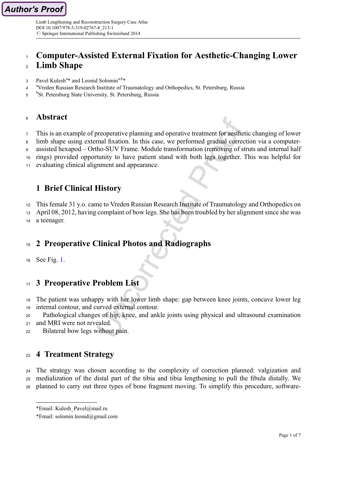# Computer-Assisted External Fixation for Aesthetic-Changing Lower

## Limb Shape

- 3 Pavel Kulesh<sup>a</sup>\* and Leonid Solomin<sup>a,b</sup>\*
- <sup>4</sup> <sup>a</sup> Vreden Russian Research Institute of Traumatology and Orthopedics, St. Petersburg, Russia
- <sup>b</sup>St. Petersburg State University, St. Petersburg, Russia

#### Abstract

This is an example of preoperative planning and operative treatment for aesthetic changing of lower

limb shape using external fixation. In this case, we performed gradual correction via a computer-

assisted hexapod – Ortho-SUV Frame. Module transformation (removing of struts and internal half

rings) provided opportunity to have patient stand with both legs together. This was helpful for

evaluating clinical alignment and appearance.

## 1 Brief Clinical History

This female 31 y.o. came to Vreden Russian Research Institute of Traumatology and Orthopedics on

April 08, 2012, having complaint of bow legs. She has been troubled by her alignment since she was

a teenager.

## 2 Preoperative Clinical Photos and Radiographs

See Fig. [1.](#page-2-0)

## 3 Preoperative Problem List

 The patient was unhappy with her lower limb shape: gap between knee joints, concave lower leg internal contour, and curved external contour.

Pathological changes of hip, knee, and ankle joints using physical and ultrasound examination

- and MRI were not revealed.
- Bilateral bow legs without pain.

## 4 Treatment Strategy

 The strategy was chosen according to the complexity of correction planned: valgization and medialization of the distal part of the tibia and tibia lengthening to pull the fibula distally. We planned to carry out three types of bone fragment moving. To simplify this procedure, software-

<sup>\*</sup>Email: Kulesh\_Pavel@mail.ru

<sup>\*</sup>Email: solomin.leonid@gmail.com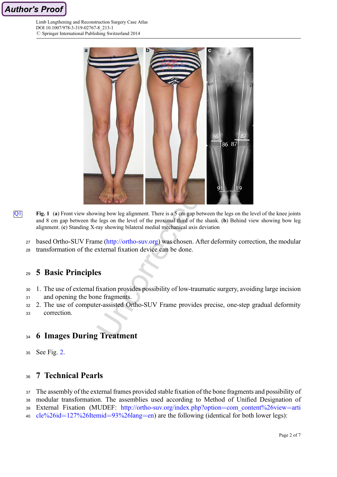<span id="page-2-0"></span>



- **Q1** Fig. 1 (a) Front view showing bow leg alignment. There is a 5 cm gap between the legs on the level of the knee joints and 8 cm gap between the legs on the level of the proximal third of the shank. (b) Behind view showing bow leg alignment. (c) Standing X-ray showing bilateral medial mechanical axis deviation
	- 27 based Ortho-SUV Frame (<http://ortho-suv.org>) was chosen. After deformity correction, the modular
	- transformation of the external fixation device can be done.

## 5 Basic Principles

- 1. The use of external fixation provides possibility of low-traumatic surgery, avoiding large incision
- and opening the bone fragments.
- 2. The use of computer-assisted Ortho-SUV Frame provides precise, one-step gradual deformity
- correction.

## 6 Images During Treatment

See Fig. [2.](#page-3-0)

## 7 Technical Pearls

 The assembly of the external frames provided stable fixation of the bone fragments and possibility of modular transformation. The assemblies used according to Method of Unified Designation of External Fixation (MUDEF: [http://ortho-suv.org/index.php?option](http://ortho-suv.org/index.php?option=com_content%26view=article%26id=127%26Itemid=93%26lang=en)=com\_content%26view=arti cle%26id=[127%26Itemid](http://ortho-suv.org/index.php?option=com_content%26view=article%26id=127%26Itemid=93%26lang=en)=93%26lang=en) are the following (identical for both lower legs):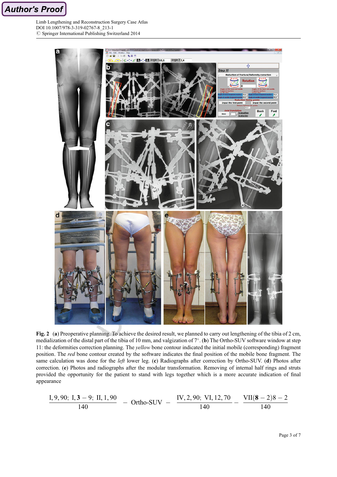<span id="page-3-0"></span>Author's Proof

Limb Lengthening and Reconstruction Surgery Case Atlas DOI 10.1007/978-3-319-02767-8\_213-1  $\oslash$  Springer International Publishing Switzerland 2014



Fig. 2 (a) Preoperative planning. To achieve the desired result, we planned to carry out lengthening of the tibia of 2 cm, medialization of the distal part of the tibia of 10 mm, and valgization of 7°. (b) The Ortho-SUV software window at step 11: the deformities correction planning. The *yellow* bone contour indicated the initial mobile (corresponding) fragment position. The *red* bone contour created by the software indicates the final position of the mobile bone fragment. The same calculation was done for the *left* lower leg. (c) Radiographs after correction by Ortho-SUV. (d) Photos after correction. (e) Photos and radiographs after the modular transformation. Removing of internal half rings and struts provided the opportunity for the patient to stand with legs together which is a more accurate indication of final appearance

$$
\frac{I, 9, 90; I, 3-9; II, 1, 90}{140} - Ortho-SUV - \frac{IV, 2, 90; VI, 12, 70}{140} - \frac{VII(8-2)8-2}{140}
$$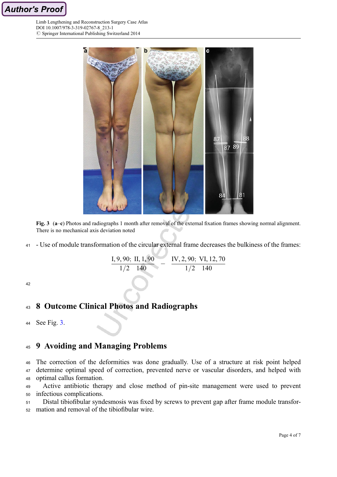



Fig. 3 (a–c) Photos and radiographs 1 month after removal of the external fixation frames showing normal alignment. There is no mechanical axis deviation noted

- Use of module transformation of the circular external frame decreases the bulkiness of the frames:

$$
\frac{I, 9, 90; \text{ II}, 1, 90}{1/2 \quad 140} \quad - \quad \frac{\text{IV}, 2, 90; \text{ VI}, 12, 70}{1/2 \quad 140}
$$

## 43 8 Outcome Clinical Photos and Radiographs

```
44 See Fig. 3.
```
# 9 Avoiding and Managing Problems

 The correction of the deformities was done gradually. Use of a structure at risk point helped determine optimal speed of correction, prevented nerve or vascular disorders, and helped with optimal callus formation.

 Active antibiotic therapy and close method of pin-site management were used to prevent infectious complications.

 Distal tibiofibular syndesmosis was fixed by screws to prevent gap after frame module transfor-mation and removal of the tibiofibular wire.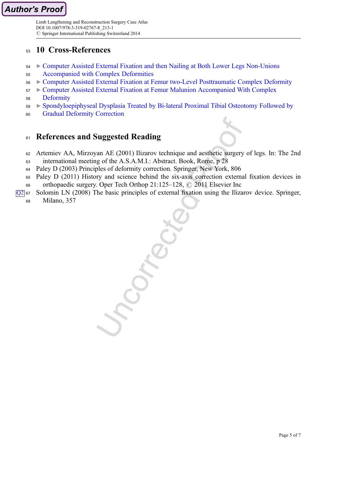## <sup>53</sup> 10 Cross-References

- <sup>54</sup> ▶ [Computer Assisted External Fixation and then Nailing at Both Lower Legs Non-Unions](http://link.springer.com/SpringerLink:ChapterTarget)
- <sup>55</sup> [Accompanied with Complex Deformities](http://link.springer.com/SpringerLink:ChapterTarget)
- <sup>56</sup> ▶ [Computer Assisted External Fixation at Femur two-Level Posttraumatic Complex Deformity](http://link.springer.com/SpringerLink:ChapterTarget)
- <sup>57</sup> ▶ [Computer Assisted External Fixation at Femur Malunion Accompanied With Complex](http://link.springer.com/SpringerLink:ChapterTarget)
- <sup>58</sup> [Deformity](http://link.springer.com/SpringerLink:ChapterTarget)
- <sup>59</sup> ▶ [Spondyloepiphyseal Dysplasia Treated by Bi-lateral Proximal Tibial Osteotomy Followed by](http://link.springer.com/SpringerLink:ChapterTarget)
- <sup>60</sup> [Gradual Deformity Correction](http://link.springer.com/SpringerLink:ChapterTarget)

## 61 References and Suggested Reading

- <sup>62</sup> Artemiev AA, Mirzoyan AE (2001) Ilizarov technique and aesthetic surgery of legs. In: The 2nd
- <sup>63</sup> international meeting of the A.S.A.M.I.: Abstract. Book, Rome, p 28
- <sup>64</sup> Paley D (2003) Principles of deformity correction. Springer, New York, 806
- <sup>65</sup> Paley D (2011) History and science behind the six-axis correction external fixation devices in
- 66 orthopaedic surgery. Oper Tech Orthop 21:125–128,  $\odot$  2011 Elsevier Inc
- $\sqrt{Q^2}$  67 Solomin LN (2008) The basic principles of external fixation using the Ilizarov device. Springer,
	- <sup>68</sup> Milano, 357

Crea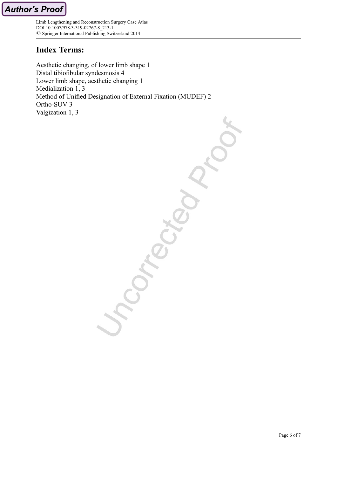## Index Terms:

Aesthetic changing, of lower limb shape 1 Distal tibiofibular syndesmosis 4 Lower limb shape, aesthetic changing 1 Medialization 1, 3 Method of Unified Designation of External Fixation (MUDEF) 2 Ortho-SUV 3 Valgization 1, 3

Company Company